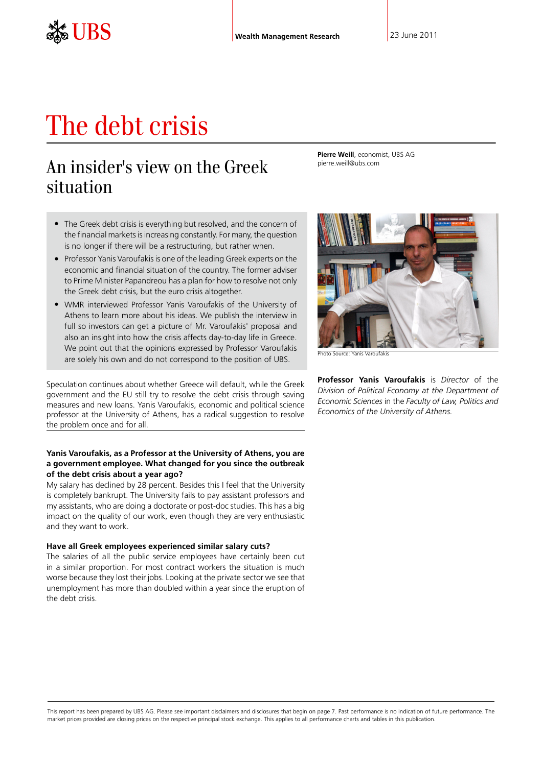# The debt crisis

# An insider's view on the Greek situation

**Pierre Weill**, economist, UBS AG pierre.weill@ubs.com

- The Greek debt crisis is everything but resolved, and the concern of the financial markets is increasing constantly. For many, the question is no longer if there will be a restructuring, but rather when.
- Professor Yanis Varoufakis is one of the leading Greek experts on the economic and financial situation of the country. The former adviser to Prime Minister Papandreou has a plan for how to resolve not only the Greek debt crisis, but the euro crisis altogether.
- WMR interviewed Professor Yanis Varoufakis of the University of Athens to learn more about his ideas. We publish the interview in full so investors can get a picture of Mr. Varoufakis' proposal and also an insight into how the crisis affects day-to-day life in Greece. We point out that the opinions expressed by Professor Varoufakis are solely his own and do not correspond to the position of UBS.

Speculation continues about whether Greece will default, while the Greek government and the EU still try to resolve the debt crisis through saving measures and new loans. Yanis Varoufakis, economic and political science professor at the University of Athens, has a radical suggestion to resolve the problem once and for all.

# **Yanis Varoufakis, as a Professor at the University of Athens, you are a government employee. What changed for you since the outbreak of the debt crisis about a year ago?**

My salary has declined by 28 percent. Besides this I feel that the University is completely bankrupt. The University fails to pay assistant professors and my assistants, who are doing a doctorate or post-doc studies. This has a big impact on the quality of our work, even though they are very enthusiastic and they want to work.

#### **Have all Greek employees experienced similar salary cuts?**

The salaries of all the public service employees have certainly been cut in a similar proportion. For most contract workers the situation is much worse because they lost their jobs. Looking at the private sector we see that unemployment has more than doubled within a year since the eruption of the debt crisis.



Photo Source: Yanis Varoufakis

**Professor Yanis Varoufakis** is *Director* of the *Division of Political Economy at the Department of Economic Sciences* in the *Faculty of Law, Politics and Economics of the University of Athens.*

This report has been prepared by UBS AG. Please see important disclaimers and disclosures that begin on page 7. Past performance is no indication of future performance. The market prices provided are closing prices on the respective principal stock exchange. This applies to all performance charts and tables in this publication.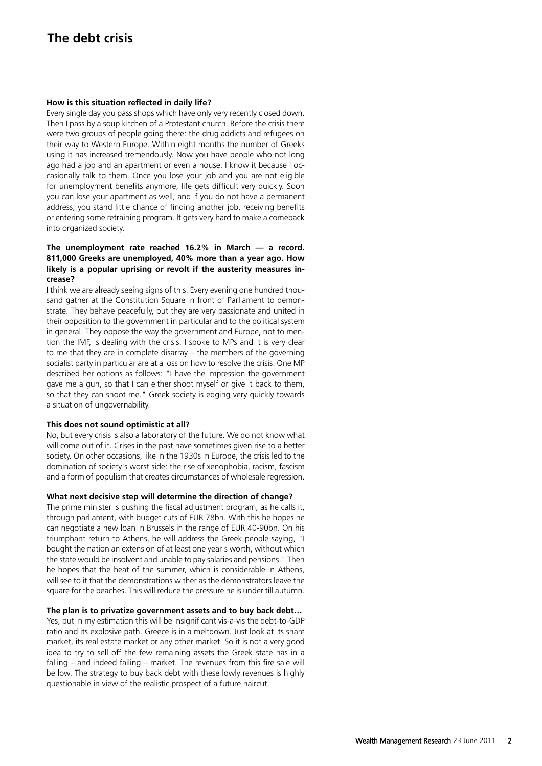#### **How is this situation reflected in daily life?**

Every single day you pass shops which have only very recently closed down. Then I pass by a soup kitchen of a Protestant church. Before the crisis there were two groups of people going there: the drug addicts and refugees on their way to Western Europe. Within eight months the number of Greeks using it has increased tremendously. Now you have people who not long ago had a job and an apartment or even a house. I know it because I occasionally talk to them. Once you lose your job and you are not eligible for unemployment benefits anymore, life gets difficult very quickly. Soon you can lose your apartment as well, and if you do not have a permanent address, you stand little chance of finding another job, receiving benefits or entering some retraining program. It gets very hard to make a comeback into organized society.

# **The unemployment rate reached 16.2% in March — a record. 811,000 Greeks are unemployed, 40% more than a year ago. How likely is a popular uprising or revolt if the austerity measures increase?**

I think we are already seeing signs of this. Every evening one hundred thousand gather at the Constitution Square in front of Parliament to demonstrate. They behave peacefully, but they are very passionate and united in their opposition to the government in particular and to the political system in general. They oppose the way the government and Europe, not to mention the IMF, is dealing with the crisis. I spoke to MPs and it is very clear to me that they are in complete disarray – the members of the governing socialist party in particular are at a loss on how to resolve the crisis. One MP described her options as follows: "I have the impression the government gave me a gun, so that I can either shoot myself or give it back to them, so that they can shoot me." Greek society is edging very quickly towards a situation of ungovernability.

#### **This does not sound optimistic at all?**

No, but every crisis is also a laboratory of the future. We do not know what will come out of it. Crises in the past have sometimes given rise to a better society. On other occasions, like in the 1930s in Europe, the crisis led to the domination of society's worst side: the rise of xenophobia, racism, fascism and a form of populism that creates circumstances of wholesale regression.

#### **What next decisive step will determine the direction of change?**

The prime minister is pushing the fiscal adjustment program, as he calls it, through parliament, with budget cuts of EUR 78bn. With this he hopes he can negotiate a new loan in Brussels in the range of EUR 40-90bn. On his triumphant return to Athens, he will address the Greek people saying, "I bought the nation an extension of at least one year's worth, without which the state would be insolvent and unable to pay salaries and pensions." Then he hopes that the heat of the summer, which is considerable in Athens, will see to it that the demonstrations wither as the demonstrators leave the square for the beaches. This will reduce the pressure he is under till autumn.

### **The plan is to privatize government assets and to buy back debt…**

Yes, but in my estimation this will be insignificant vis-a-vis the debt-to-GDP ratio and its explosive path. Greece is in a meltdown. Just look at its share market, its real estate market or any other market. So it is not a very good idea to try to sell off the few remaining assets the Greek state has in a falling – and indeed failing – market. The revenues from this fire sale will be low. The strategy to buy back debt with these lowly revenues is highly questionable in view of the realistic prospect of a future haircut.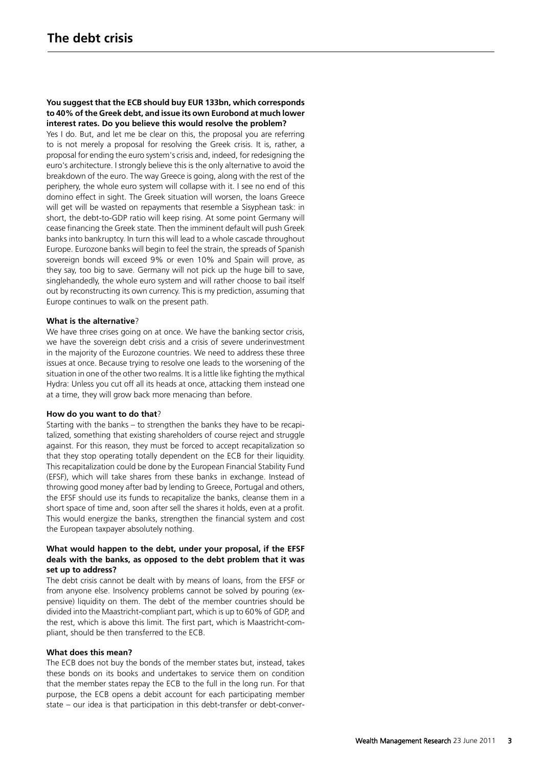# **You suggest that the ECB should buy EUR 133bn, which corresponds to 40% of the Greek debt, and issue its own Eurobond at much lower interest rates. Do you believe this would resolve the problem?**

Yes I do. But, and let me be clear on this, the proposal you are referring to is not merely a proposal for resolving the Greek crisis. It is, rather, a proposal for ending the euro system's crisis and, indeed, for redesigning the euro's architecture. I strongly believe this is the only alternative to avoid the breakdown of the euro. The way Greece is going, along with the rest of the periphery, the whole euro system will collapse with it. I see no end of this domino effect in sight. The Greek situation will worsen, the loans Greece will get will be wasted on repayments that resemble a Sisyphean task: in short, the debt-to-GDP ratio will keep rising. At some point Germany will cease financing the Greek state. Then the imminent default will push Greek banks into bankruptcy. In turn this will lead to a whole cascade throughout Europe. Eurozone banks will begin to feel the strain, the spreads of Spanish sovereign bonds will exceed 9% or even 10% and Spain will prove, as they say, too big to save. Germany will not pick up the huge bill to save, singlehandedly, the whole euro system and will rather choose to bail itself out by reconstructing its own currency. This is my prediction, assuming that Europe continues to walk on the present path.

# **What is the alternative**?

We have three crises going on at once. We have the banking sector crisis, we have the sovereign debt crisis and a crisis of severe underinvestment in the majority of the Eurozone countries. We need to address these three issues at once. Because trying to resolve one leads to the worsening of the situation in one of the other two realms. It is a little like fighting the mythical Hydra: Unless you cut off all its heads at once, attacking them instead one at a time, they will grow back more menacing than before.

#### **How do you want to do that**?

Starting with the banks – to strengthen the banks they have to be recapitalized, something that existing shareholders of course reject and struggle against. For this reason, they must be forced to accept recapitalization so that they stop operating totally dependent on the ECB for their liquidity. This recapitalization could be done by the European Financial Stability Fund (EFSF), which will take shares from these banks in exchange. Instead of throwing good money after bad by lending to Greece, Portugal and others, the EFSF should use its funds to recapitalize the banks, cleanse them in a short space of time and, soon after sell the shares it holds, even at a profit. This would energize the banks, strengthen the financial system and cost the European taxpayer absolutely nothing.

# **What would happen to the debt, under your proposal, if the EFSF deals with the banks, as opposed to the debt problem that it was set up to address?**

The debt crisis cannot be dealt with by means of loans, from the EFSF or from anyone else. Insolvency problems cannot be solved by pouring (expensive) liquidity on them. The debt of the member countries should be divided into the Maastricht-compliant part, which is up to 60% of GDP, and the rest, which is above this limit. The first part, which is Maastricht-compliant, should be then transferred to the ECB.

#### **What does this mean?**

The ECB does not buy the bonds of the member states but, instead, takes these bonds on its books and undertakes to service them on condition that the member states repay the ECB to the full in the long run. For that purpose, the ECB opens a debit account for each participating member state – our idea is that participation in this debt-transfer or debt-conver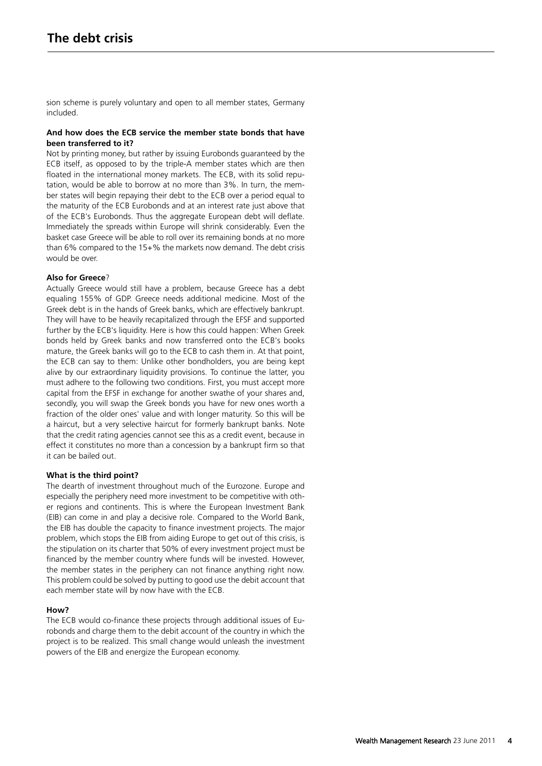sion scheme is purely voluntary and open to all member states, Germany included.

# **And how does the ECB service the member state bonds that have been transferred to it?**

Not by printing money, but rather by issuing Eurobonds guaranteed by the ECB itself, as opposed to by the triple-A member states which are then floated in the international money markets. The ECB, with its solid reputation, would be able to borrow at no more than 3%. In turn, the member states will begin repaying their debt to the ECB over a period equal to the maturity of the ECB Eurobonds and at an interest rate just above that of the ECB's Eurobonds. Thus the aggregate European debt will deflate. Immediately the spreads within Europe will shrink considerably. Even the basket case Greece will be able to roll over its remaining bonds at no more than 6% compared to the 15+% the markets now demand. The debt crisis would be over.

# **Also for Greece**?

Actually Greece would still have a problem, because Greece has a debt equaling 155% of GDP. Greece needs additional medicine. Most of the Greek debt is in the hands of Greek banks, which are effectively bankrupt. They will have to be heavily recapitalized through the EFSF and supported further by the ECB's liquidity. Here is how this could happen: When Greek bonds held by Greek banks and now transferred onto the ECB's books mature, the Greek banks will go to the ECB to cash them in. At that point, the ECB can say to them: Unlike other bondholders, you are being kept alive by our extraordinary liquidity provisions. To continue the latter, you must adhere to the following two conditions. First, you must accept more capital from the EFSF in exchange for another swathe of your shares and, secondly, you will swap the Greek bonds you have for new ones worth a fraction of the older ones' value and with longer maturity. So this will be a haircut, but a very selective haircut for formerly bankrupt banks. Note that the credit rating agencies cannot see this as a credit event, because in effect it constitutes no more than a concession by a bankrupt firm so that it can be bailed out.

#### **What is the third point?**

The dearth of investment throughout much of the Eurozone. Europe and especially the periphery need more investment to be competitive with other regions and continents. This is where the European Investment Bank (EIB) can come in and play a decisive role. Compared to the World Bank, the EIB has double the capacity to finance investment projects. The major problem, which stops the EIB from aiding Europe to get out of this crisis, is the stipulation on its charter that 50% of every investment project must be financed by the member country where funds will be invested. However, the member states in the periphery can not finance anything right now. This problem could be solved by putting to good use the debit account that each member state will by now have with the ECB.

#### **How?**

The ECB would co-finance these projects through additional issues of Eurobonds and charge them to the debit account of the country in which the project is to be realized. This small change would unleash the investment powers of the EIB and energize the European economy.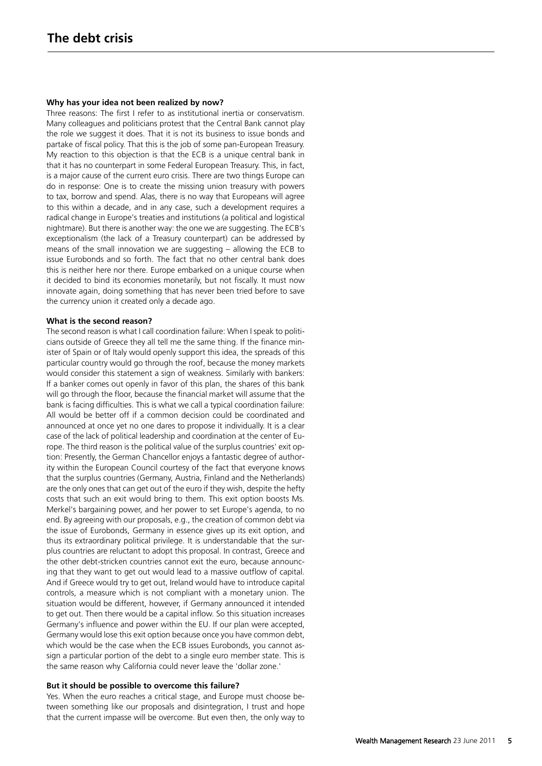#### **Why has your idea not been realized by now?**

Three reasons: The first I refer to as institutional inertia or conservatism. Many colleagues and politicians protest that the Central Bank cannot play the role we suggest it does. That it is not its business to issue bonds and partake of fiscal policy. That this is the job of some pan-European Treasury. My reaction to this objection is that the ECB is a unique central bank in that it has no counterpart in some Federal European Treasury. This, in fact, is a major cause of the current euro crisis. There are two things Europe can do in response: One is to create the missing union treasury with powers to tax, borrow and spend. Alas, there is no way that Europeans will agree to this within a decade, and in any case, such a development requires a radical change in Europe's treaties and institutions (a political and logistical nightmare). But there is another way: the one we are suggesting. The ECB's exceptionalism (the lack of a Treasury counterpart) can be addressed by means of the small innovation we are suggesting – allowing the ECB to issue Eurobonds and so forth. The fact that no other central bank does this is neither here nor there. Europe embarked on a unique course when it decided to bind its economies monetarily, but not fiscally. It must now innovate again, doing something that has never been tried before to save the currency union it created only a decade ago.

#### **What is the second reason?**

The second reason is what I call coordination failure: When I speak to politicians outside of Greece they all tell me the same thing. If the finance minister of Spain or of Italy would openly support this idea, the spreads of this particular country would go through the roof, because the money markets would consider this statement a sign of weakness. Similarly with bankers: If a banker comes out openly in favor of this plan, the shares of this bank will go through the floor, because the financial market will assume that the bank is facing difficulties. This is what we call a typical coordination failure: All would be better off if a common decision could be coordinated and announced at once yet no one dares to propose it individually. It is a clear case of the lack of political leadership and coordination at the center of Europe. The third reason is the political value of the surplus countries' exit option: Presently, the German Chancellor enjoys a fantastic degree of authority within the European Council courtesy of the fact that everyone knows that the surplus countries (Germany, Austria, Finland and the Netherlands) are the only ones that can get out of the euro if they wish, despite the hefty costs that such an exit would bring to them. This exit option boosts Ms. Merkel's bargaining power, and her power to set Europe's agenda, to no end. By agreeing with our proposals, e.g., the creation of common debt via the issue of Eurobonds, Germany in essence gives up its exit option, and thus its extraordinary political privilege. It is understandable that the surplus countries are reluctant to adopt this proposal. In contrast, Greece and the other debt-stricken countries cannot exit the euro, because announcing that they want to get out would lead to a massive outflow of capital. And if Greece would try to get out, Ireland would have to introduce capital controls, a measure which is not compliant with a monetary union. The situation would be different, however, if Germany announced it intended to get out. Then there would be a capital inflow. So this situation increases Germany's influence and power within the EU. If our plan were accepted, Germany would lose this exit option because once you have common debt, which would be the case when the ECB issues Eurobonds, you cannot assign a particular portion of the debt to a single euro member state. This is the same reason why California could never leave the 'dollar zone.'

#### **But it should be possible to overcome this failure?**

Yes. When the euro reaches a critical stage, and Europe must choose between something like our proposals and disintegration, I trust and hope that the current impasse will be overcome. But even then, the only way to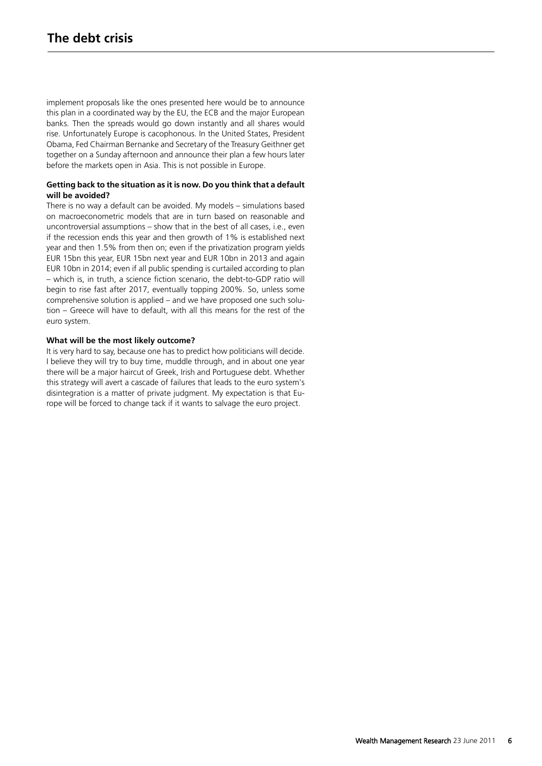implement proposals like the ones presented here would be to announce this plan in a coordinated way by the EU, the ECB and the major European banks. Then the spreads would go down instantly and all shares would rise. Unfortunately Europe is cacophonous. In the United States, President Obama, Fed Chairman Bernanke and Secretary of the Treasury Geithner get together on a Sunday afternoon and announce their plan a few hours later before the markets open in Asia. This is not possible in Europe.

# **Getting back to the situation as it is now. Do you think that a default will be avoided?**

There is no way a default can be avoided. My models – simulations based on macroeconometric models that are in turn based on reasonable and uncontroversial assumptions – show that in the best of all cases, i.e., even if the recession ends this year and then growth of 1% is established next year and then 1.5% from then on; even if the privatization program yields EUR 15bn this year, EUR 15bn next year and EUR 10bn in 2013 and again EUR 10bn in 2014; even if all public spending is curtailed according to plan – which is, in truth, a science fiction scenario, the debt-to-GDP ratio will begin to rise fast after 2017, eventually topping 200%. So, unless some comprehensive solution is applied – and we have proposed one such solution – Greece will have to default, with all this means for the rest of the euro system.

# **What will be the most likely outcome?**

It is very hard to say, because one has to predict how politicians will decide. I believe they will try to buy time, muddle through, and in about one year there will be a major haircut of Greek, Irish and Portuguese debt. Whether this strategy will avert a cascade of failures that leads to the euro system's disintegration is a matter of private judgment. My expectation is that Europe will be forced to change tack if it wants to salvage the euro project.